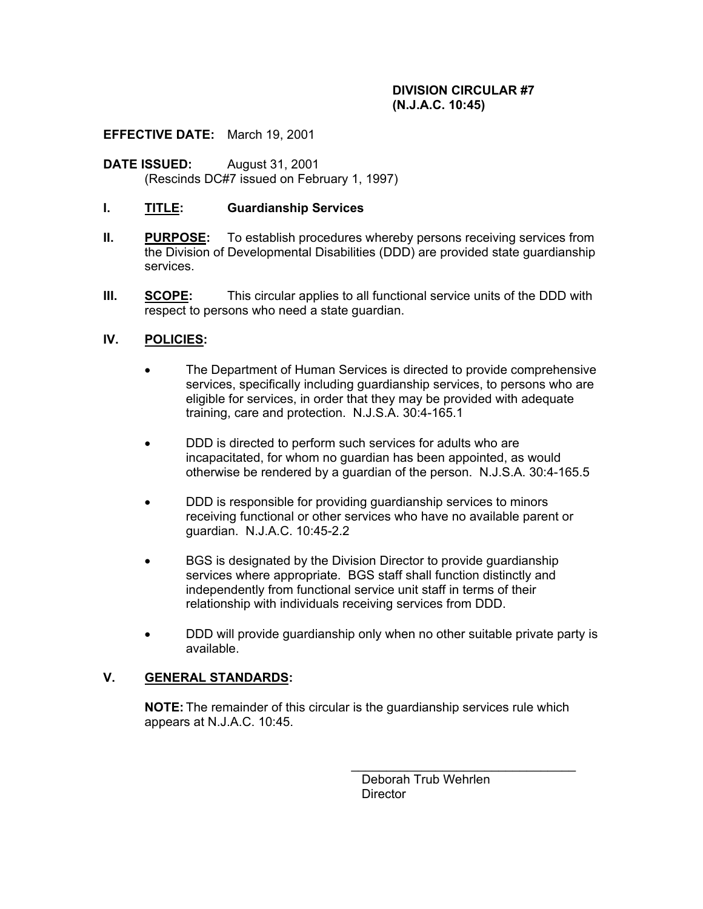#### **DIVISION CIRCULAR #7 (N.J.A.C. 10:45)**

**EFFECTIVE DATE:** March 19, 2001

**DATE ISSUED:** August 31, 2001 (Rescinds DC#7 issued on February 1, 1997)

#### **I. TITLE: Guardianship Services**

- **II.** PURPOSE: To establish procedures whereby persons receiving services from the Division of Developmental Disabilities (DDD) are provided state guardianship services.
- **III.** SCOPE: This circular applies to all functional service units of the DDD with respect to persons who need a state guardian.

#### **IV. POLICIES:**

- The Department of Human Services is directed to provide comprehensive services, specifically including guardianship services, to persons who are eligible for services, in order that they may be provided with adequate training, care and protection. N.J.S.A. 30:4-165.1
- DDD is directed to perform such services for adults who are incapacitated, for whom no guardian has been appointed, as would otherwise be rendered by a guardian of the person. N.J.S.A. 30:4-165.5
- DDD is responsible for providing guardianship services to minors receiving functional or other services who have no available parent or guardian. N.J.A.C. 10:45-2.2
- BGS is designated by the Division Director to provide guardianship services where appropriate. BGS staff shall function distinctly and independently from functional service unit staff in terms of their relationship with individuals receiving services from DDD.
- DDD will provide guardianship only when no other suitable private party is available.

#### **V. GENERAL STANDARDS:**

**NOTE:** The remainder of this circular is the guardianship services rule which appears at N.J.A.C. 10:45.

> Deborah Trub Wehrlen **Director**

\_\_\_\_\_\_\_\_\_\_\_\_\_\_\_\_\_\_\_\_\_\_\_\_\_\_\_\_\_\_\_\_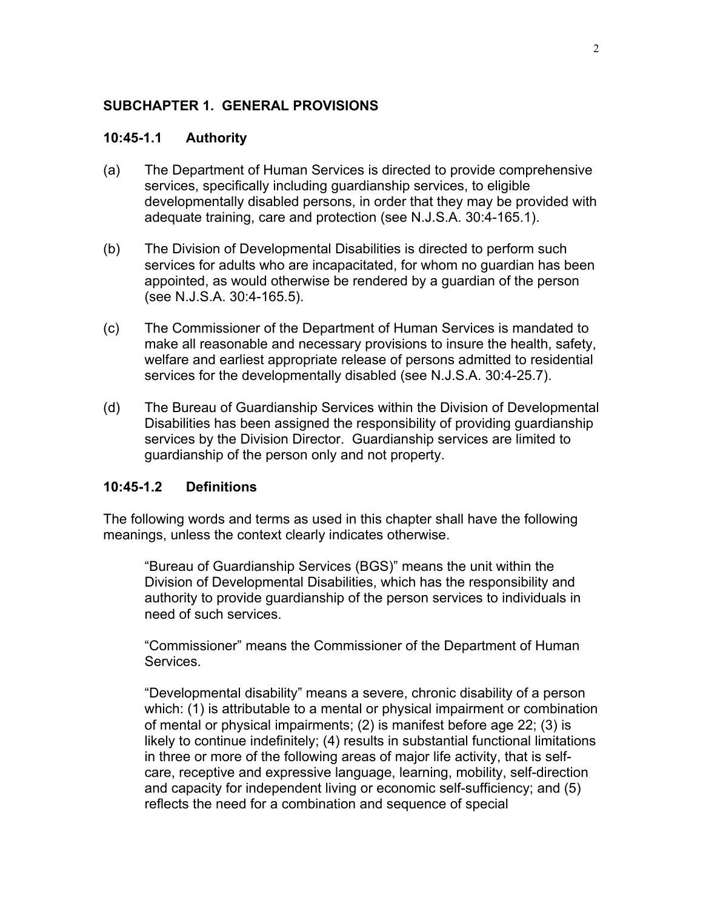#### **SUBCHAPTER 1. GENERAL PROVISIONS**

#### **10:45-1.1 Authority**

- (a) The Department of Human Services is directed to provide comprehensive services, specifically including guardianship services, to eligible developmentally disabled persons, in order that they may be provided with adequate training, care and protection (see N.J.S.A. 30:4-165.1).
- (b) The Division of Developmental Disabilities is directed to perform such services for adults who are incapacitated, for whom no guardian has been appointed, as would otherwise be rendered by a guardian of the person (see N.J.S.A. 30:4-165.5).
- (c) The Commissioner of the Department of Human Services is mandated to make all reasonable and necessary provisions to insure the health, safety, welfare and earliest appropriate release of persons admitted to residential services for the developmentally disabled (see N.J.S.A. 30:4-25.7).
- (d) The Bureau of Guardianship Services within the Division of Developmental Disabilities has been assigned the responsibility of providing guardianship services by the Division Director. Guardianship services are limited to guardianship of the person only and not property.

#### **10:45-1.2 Definitions**

The following words and terms as used in this chapter shall have the following meanings, unless the context clearly indicates otherwise.

"Bureau of Guardianship Services (BGS)" means the unit within the Division of Developmental Disabilities, which has the responsibility and authority to provide guardianship of the person services to individuals in need of such services.

"Commissioner" means the Commissioner of the Department of Human Services.

"Developmental disability" means a severe, chronic disability of a person which: (1) is attributable to a mental or physical impairment or combination of mental or physical impairments; (2) is manifest before age 22; (3) is likely to continue indefinitely; (4) results in substantial functional limitations in three or more of the following areas of major life activity, that is selfcare, receptive and expressive language, learning, mobility, self-direction and capacity for independent living or economic self-sufficiency; and (5) reflects the need for a combination and sequence of special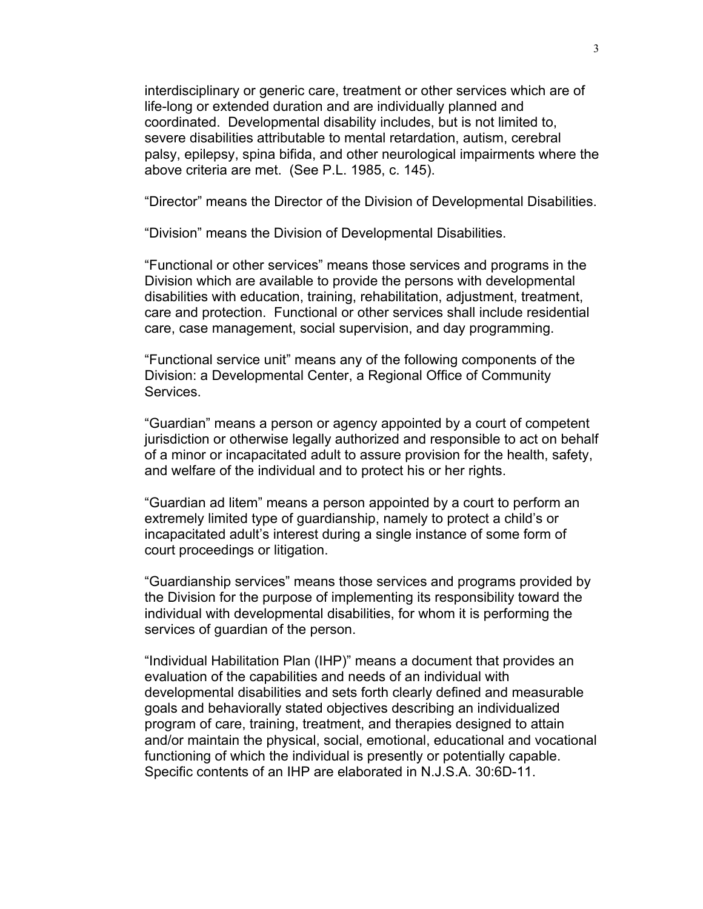interdisciplinary or generic care, treatment or other services which are of life-long or extended duration and are individually planned and coordinated. Developmental disability includes, but is not limited to, severe disabilities attributable to mental retardation, autism, cerebral palsy, epilepsy, spina bifida, and other neurological impairments where the above criteria are met. (See P.L. 1985, c. 145).

"Director" means the Director of the Division of Developmental Disabilities.

"Division" means the Division of Developmental Disabilities.

"Functional or other services" means those services and programs in the Division which are available to provide the persons with developmental disabilities with education, training, rehabilitation, adjustment, treatment, care and protection. Functional or other services shall include residential care, case management, social supervision, and day programming.

"Functional service unit" means any of the following components of the Division: a Developmental Center, a Regional Office of Community **Services** 

"Guardian" means a person or agency appointed by a court of competent jurisdiction or otherwise legally authorized and responsible to act on behalf of a minor or incapacitated adult to assure provision for the health, safety, and welfare of the individual and to protect his or her rights.

"Guardian ad litem" means a person appointed by a court to perform an extremely limited type of guardianship, namely to protect a child's or incapacitated adult's interest during a single instance of some form of court proceedings or litigation.

"Guardianship services" means those services and programs provided by the Division for the purpose of implementing its responsibility toward the individual with developmental disabilities, for whom it is performing the services of guardian of the person.

"Individual Habilitation Plan (IHP)" means a document that provides an evaluation of the capabilities and needs of an individual with developmental disabilities and sets forth clearly defined and measurable goals and behaviorally stated objectives describing an individualized program of care, training, treatment, and therapies designed to attain and/or maintain the physical, social, emotional, educational and vocational functioning of which the individual is presently or potentially capable. Specific contents of an IHP are elaborated in N.J.S.A. 30:6D-11.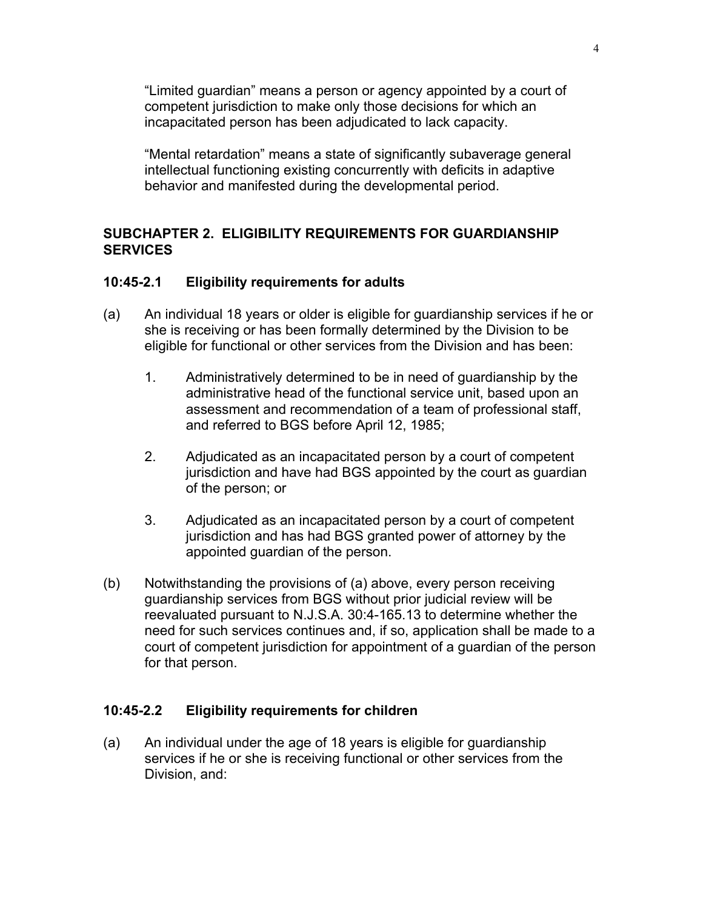"Limited guardian" means a person or agency appointed by a court of competent jurisdiction to make only those decisions for which an incapacitated person has been adjudicated to lack capacity.

"Mental retardation" means a state of significantly subaverage general intellectual functioning existing concurrently with deficits in adaptive behavior and manifested during the developmental period.

# **SUBCHAPTER 2. ELIGIBILITY REQUIREMENTS FOR GUARDIANSHIP SERVICES**

## **10:45-2.1 Eligibility requirements for adults**

- (a) An individual 18 years or older is eligible for guardianship services if he or she is receiving or has been formally determined by the Division to be eligible for functional or other services from the Division and has been:
	- 1. Administratively determined to be in need of guardianship by the administrative head of the functional service unit, based upon an assessment and recommendation of a team of professional staff, and referred to BGS before April 12, 1985;
	- 2. Adjudicated as an incapacitated person by a court of competent jurisdiction and have had BGS appointed by the court as guardian of the person; or
	- 3. Adjudicated as an incapacitated person by a court of competent jurisdiction and has had BGS granted power of attorney by the appointed guardian of the person.
- (b) Notwithstanding the provisions of (a) above, every person receiving guardianship services from BGS without prior judicial review will be reevaluated pursuant to N.J.S.A. 30:4-165.13 to determine whether the need for such services continues and, if so, application shall be made to a court of competent jurisdiction for appointment of a guardian of the person for that person.

#### **10:45-2.2 Eligibility requirements for children**

(a) An individual under the age of 18 years is eligible for guardianship services if he or she is receiving functional or other services from the Division, and: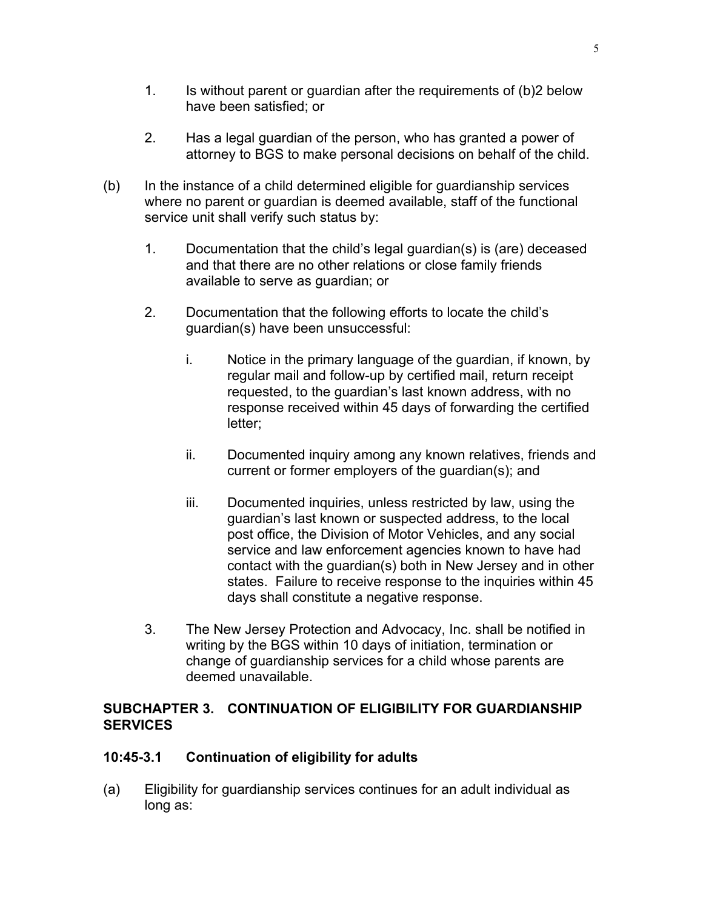- 1. Is without parent or guardian after the requirements of (b)2 below have been satisfied; or
- 2. Has a legal guardian of the person, who has granted a power of attorney to BGS to make personal decisions on behalf of the child.
- (b) In the instance of a child determined eligible for guardianship services where no parent or guardian is deemed available, staff of the functional service unit shall verify such status by:
	- 1. Documentation that the child's legal guardian(s) is (are) deceased and that there are no other relations or close family friends available to serve as guardian; or
	- 2. Documentation that the following efforts to locate the child's guardian(s) have been unsuccessful:
		- i. Notice in the primary language of the guardian, if known, by regular mail and follow-up by certified mail, return receipt requested, to the guardian's last known address, with no response received within 45 days of forwarding the certified letter;
		- ii. Documented inquiry among any known relatives, friends and current or former employers of the guardian(s); and
		- iii. Documented inquiries, unless restricted by law, using the guardian's last known or suspected address, to the local post office, the Division of Motor Vehicles, and any social service and law enforcement agencies known to have had contact with the guardian(s) both in New Jersey and in other states. Failure to receive response to the inquiries within 45 days shall constitute a negative response.
	- 3. The New Jersey Protection and Advocacy, Inc. shall be notified in writing by the BGS within 10 days of initiation, termination or change of guardianship services for a child whose parents are deemed unavailable.

# **SUBCHAPTER 3. CONTINUATION OF ELIGIBILITY FOR GUARDIANSHIP SERVICES**

# **10:45-3.1 Continuation of eligibility for adults**

(a) Eligibility for guardianship services continues for an adult individual as long as: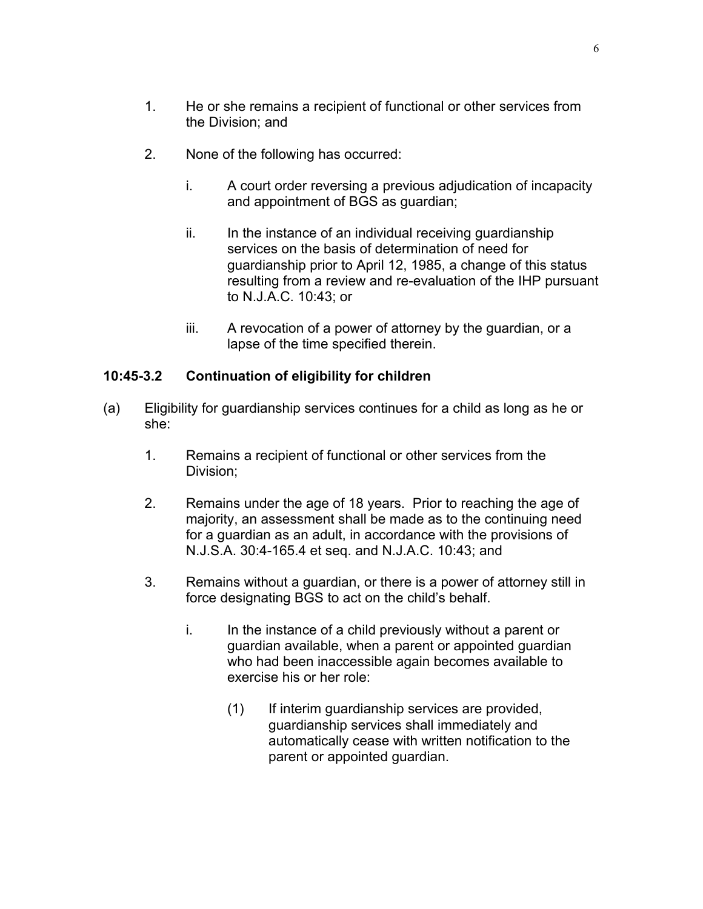- 1. He or she remains a recipient of functional or other services from the Division; and
- 2. None of the following has occurred:
	- i. A court order reversing a previous adjudication of incapacity and appointment of BGS as guardian;
	- ii. In the instance of an individual receiving guardianship services on the basis of determination of need for guardianship prior to April 12, 1985, a change of this status resulting from a review and re-evaluation of the IHP pursuant to N.J.A.C. 10:43; or
	- iii. A revocation of a power of attorney by the guardian, or a lapse of the time specified therein.

#### **10:45-3.2 Continuation of eligibility for children**

- (a) Eligibility for guardianship services continues for a child as long as he or she:
	- 1. Remains a recipient of functional or other services from the Division;
	- 2. Remains under the age of 18 years. Prior to reaching the age of majority, an assessment shall be made as to the continuing need for a guardian as an adult, in accordance with the provisions of N.J.S.A. 30:4-165.4 et seq. and N.J.A.C. 10:43; and
	- 3. Remains without a guardian, or there is a power of attorney still in force designating BGS to act on the child's behalf.
		- i. In the instance of a child previously without a parent or guardian available, when a parent or appointed guardian who had been inaccessible again becomes available to exercise his or her role:
			- (1) If interim guardianship services are provided, guardianship services shall immediately and automatically cease with written notification to the parent or appointed guardian.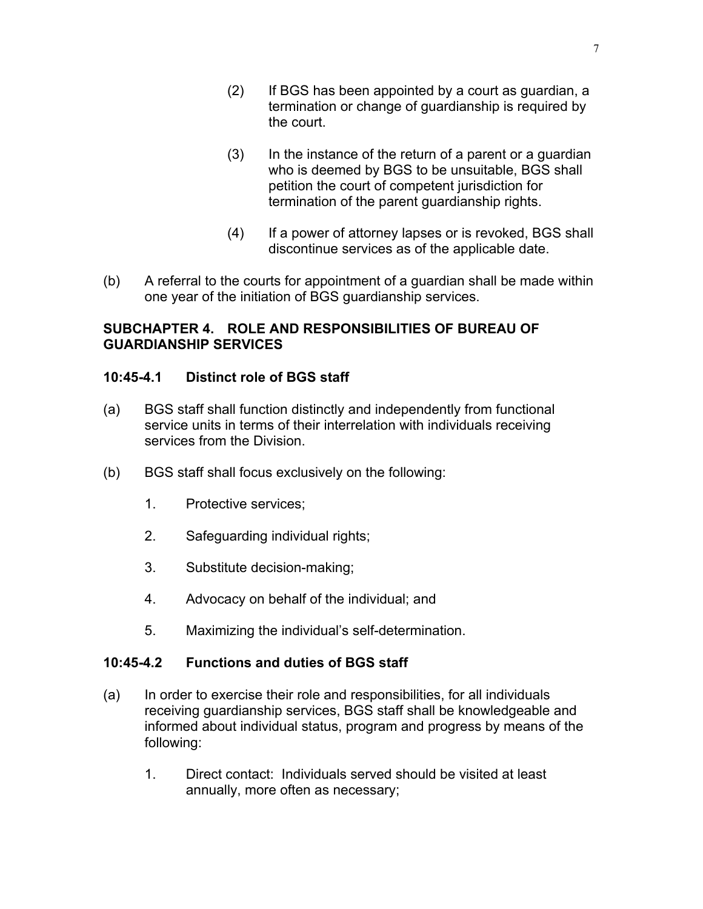- (2) If BGS has been appointed by a court as guardian, a termination or change of guardianship is required by the court.
- (3) In the instance of the return of a parent or a guardian who is deemed by BGS to be unsuitable, BGS shall petition the court of competent jurisdiction for termination of the parent guardianship rights.
- (4) If a power of attorney lapses or is revoked, BGS shall discontinue services as of the applicable date.
- (b) A referral to the courts for appointment of a guardian shall be made within one year of the initiation of BGS guardianship services.

## **SUBCHAPTER 4. ROLE AND RESPONSIBILITIES OF BUREAU OF GUARDIANSHIP SERVICES**

## **10:45-4.1 Distinct role of BGS staff**

- (a) BGS staff shall function distinctly and independently from functional service units in terms of their interrelation with individuals receiving services from the Division.
- (b) BGS staff shall focus exclusively on the following:
	- 1. Protective services;
	- 2. Safeguarding individual rights;
	- 3. Substitute decision-making;
	- 4. Advocacy on behalf of the individual; and
	- 5. Maximizing the individual's self-determination.

#### **10:45-4.2 Functions and duties of BGS staff**

- (a) In order to exercise their role and responsibilities, for all individuals receiving guardianship services, BGS staff shall be knowledgeable and informed about individual status, program and progress by means of the following:
	- 1. Direct contact: Individuals served should be visited at least annually, more often as necessary;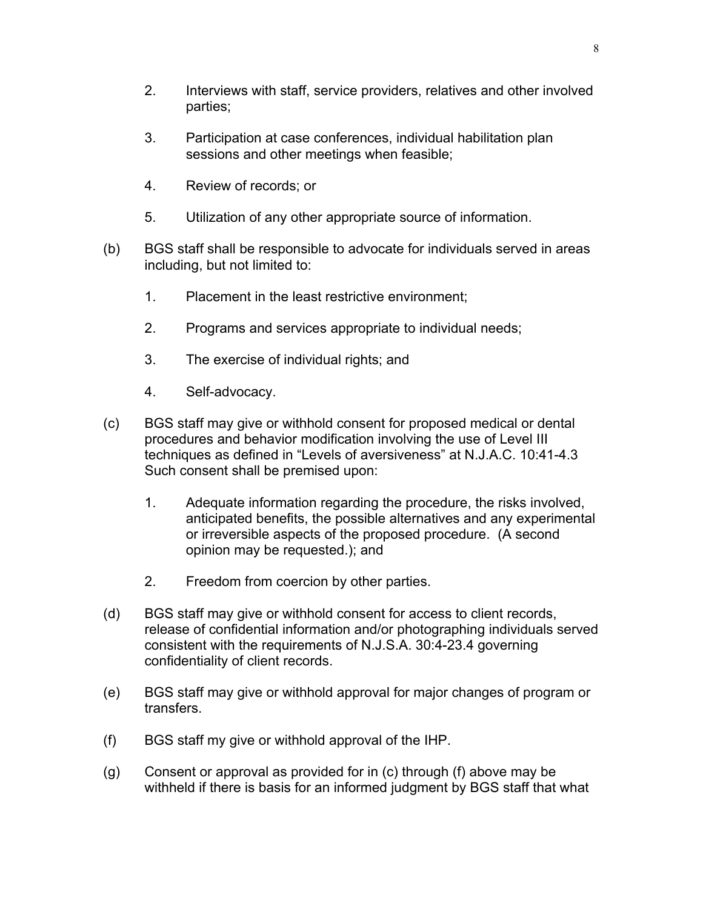- 2. Interviews with staff, service providers, relatives and other involved parties;
- 3. Participation at case conferences, individual habilitation plan sessions and other meetings when feasible;
- 4. Review of records; or
- 5. Utilization of any other appropriate source of information.
- (b) BGS staff shall be responsible to advocate for individuals served in areas including, but not limited to:
	- 1. Placement in the least restrictive environment;
	- 2. Programs and services appropriate to individual needs;
	- 3. The exercise of individual rights; and
	- 4. Self-advocacy.
- (c) BGS staff may give or withhold consent for proposed medical or dental procedures and behavior modification involving the use of Level III techniques as defined in "Levels of aversiveness" at N.J.A.C. 10:41-4.3 Such consent shall be premised upon:
	- 1. Adequate information regarding the procedure, the risks involved, anticipated benefits, the possible alternatives and any experimental or irreversible aspects of the proposed procedure. (A second opinion may be requested.); and
	- 2. Freedom from coercion by other parties.
- (d) BGS staff may give or withhold consent for access to client records, release of confidential information and/or photographing individuals served consistent with the requirements of N.J.S.A. 30:4-23.4 governing confidentiality of client records.
- (e) BGS staff may give or withhold approval for major changes of program or transfers.
- (f) BGS staff my give or withhold approval of the IHP.
- (g) Consent or approval as provided for in (c) through (f) above may be withheld if there is basis for an informed judgment by BGS staff that what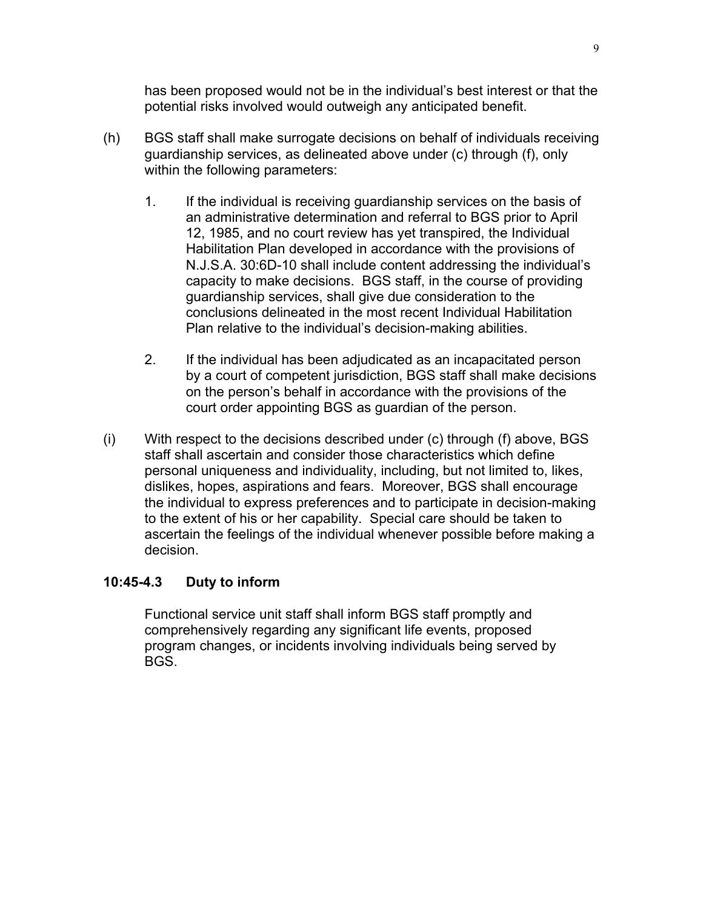has been proposed would not be in the individual's best interest or that the potential risks involved would outweigh any anticipated benefit.

- (h) BGS staff shall make surrogate decisions on behalf of individuals receiving guardianship services, as delineated above under (c) through (f), only within the following parameters:
	- 1. If the individual is receiving guardianship services on the basis of an administrative determination and referral to BGS prior to April 12, 1985, and no court review has yet transpired, the Individual Habilitation Plan developed in accordance with the provisions of N.J.S.A. 30:6D-10 shall include content addressing the individual's capacity to make decisions. BGS staff, in the course of providing guardianship services, shall give due consideration to the conclusions delineated in the most recent Individual Habilitation Plan relative to the individual's decision-making abilities.
	- 2. If the individual has been adjudicated as an incapacitated person by a court of competent jurisdiction, BGS staff shall make decisions on the person's behalf in accordance with the provisions of the court order appointing BGS as guardian of the person.
- (i) With respect to the decisions described under (c) through (f) above, BGS staff shall ascertain and consider those characteristics which define personal uniqueness and individuality, including, but not limited to, likes, dislikes, hopes, aspirations and fears. Moreover, BGS shall encourage the individual to express preferences and to participate in decision-making to the extent of his or her capability. Special care should be taken to ascertain the feelings of the individual whenever possible before making a decision.

# **10:45-4.3 Duty to inform**

Functional service unit staff shall inform BGS staff promptly and comprehensively regarding any significant life events, proposed program changes, or incidents involving individuals being served by BGS.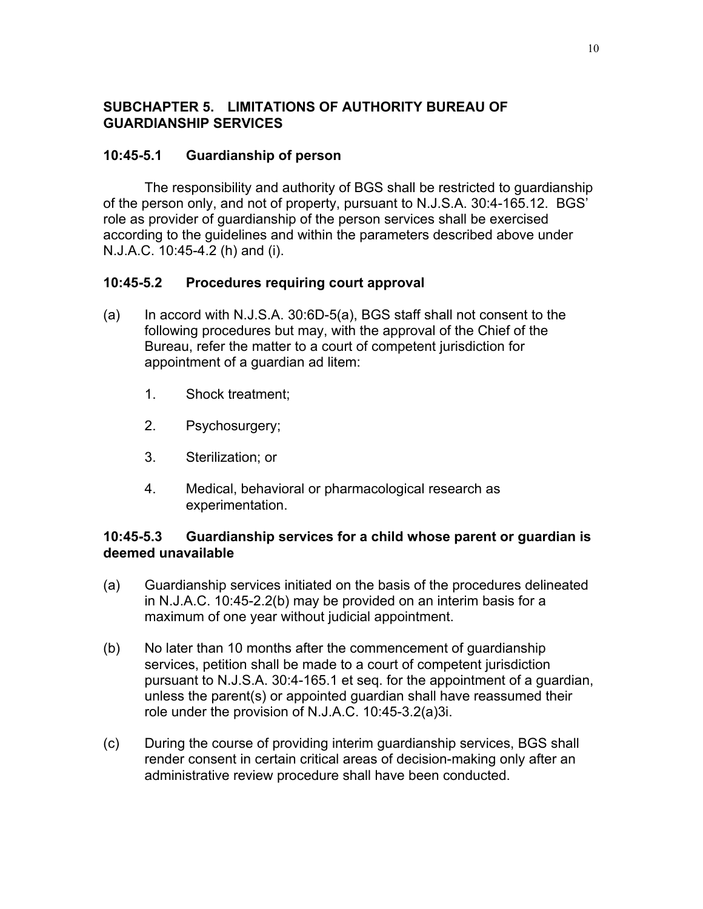# **SUBCHAPTER 5. LIMITATIONS OF AUTHORITY BUREAU OF GUARDIANSHIP SERVICES**

# **10:45-5.1 Guardianship of person**

The responsibility and authority of BGS shall be restricted to guardianship of the person only, and not of property, pursuant to N.J.S.A. 30:4-165.12. BGS' role as provider of guardianship of the person services shall be exercised according to the guidelines and within the parameters described above under N.J.A.C. 10:45-4.2 (h) and (i).

# **10:45-5.2 Procedures requiring court approval**

- (a) In accord with N.J.S.A. 30:6D-5(a), BGS staff shall not consent to the following procedures but may, with the approval of the Chief of the Bureau, refer the matter to a court of competent jurisdiction for appointment of a guardian ad litem:
	- 1. Shock treatment;
	- 2. Psychosurgery;
	- 3. Sterilization; or
	- 4. Medical, behavioral or pharmacological research as experimentation.

## **10:45-5.3 Guardianship services for a child whose parent or guardian is deemed unavailable**

- (a) Guardianship services initiated on the basis of the procedures delineated in N.J.A.C. 10:45-2.2(b) may be provided on an interim basis for a maximum of one year without judicial appointment.
- (b) No later than 10 months after the commencement of guardianship services, petition shall be made to a court of competent jurisdiction pursuant to N.J.S.A. 30:4-165.1 et seq. for the appointment of a guardian, unless the parent(s) or appointed guardian shall have reassumed their role under the provision of N.J.A.C. 10:45-3.2(a)3i.
- (c) During the course of providing interim guardianship services, BGS shall render consent in certain critical areas of decision-making only after an administrative review procedure shall have been conducted.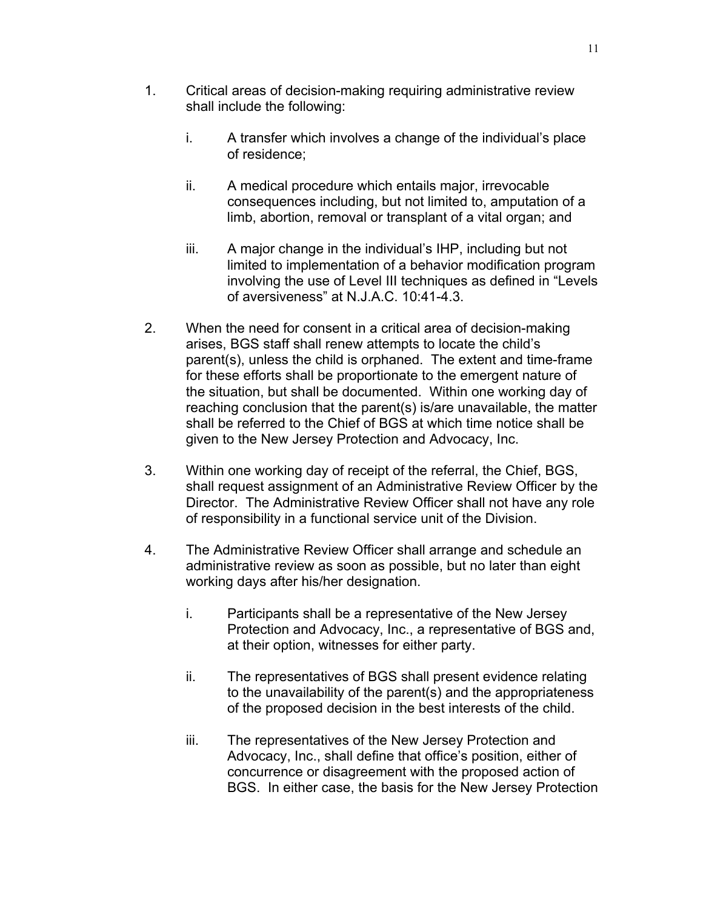- 1. Critical areas of decision-making requiring administrative review shall include the following:
	- i. A transfer which involves a change of the individual's place of residence;
	- ii. A medical procedure which entails major, irrevocable consequences including, but not limited to, amputation of a limb, abortion, removal or transplant of a vital organ; and
	- iii. A major change in the individual's IHP, including but not limited to implementation of a behavior modification program involving the use of Level III techniques as defined in "Levels of aversiveness" at N.J.A.C. 10:41-4.3.
- 2. When the need for consent in a critical area of decision-making arises, BGS staff shall renew attempts to locate the child's parent(s), unless the child is orphaned. The extent and time-frame for these efforts shall be proportionate to the emergent nature of the situation, but shall be documented. Within one working day of reaching conclusion that the parent(s) is/are unavailable, the matter shall be referred to the Chief of BGS at which time notice shall be given to the New Jersey Protection and Advocacy, Inc.
- 3. Within one working day of receipt of the referral, the Chief, BGS, shall request assignment of an Administrative Review Officer by the Director. The Administrative Review Officer shall not have any role of responsibility in a functional service unit of the Division.
- 4. The Administrative Review Officer shall arrange and schedule an administrative review as soon as possible, but no later than eight working days after his/her designation.
	- i. Participants shall be a representative of the New Jersey Protection and Advocacy, Inc., a representative of BGS and, at their option, witnesses for either party.
	- ii. The representatives of BGS shall present evidence relating to the unavailability of the parent(s) and the appropriateness of the proposed decision in the best interests of the child.
	- iii. The representatives of the New Jersey Protection and Advocacy, Inc., shall define that office's position, either of concurrence or disagreement with the proposed action of BGS. In either case, the basis for the New Jersey Protection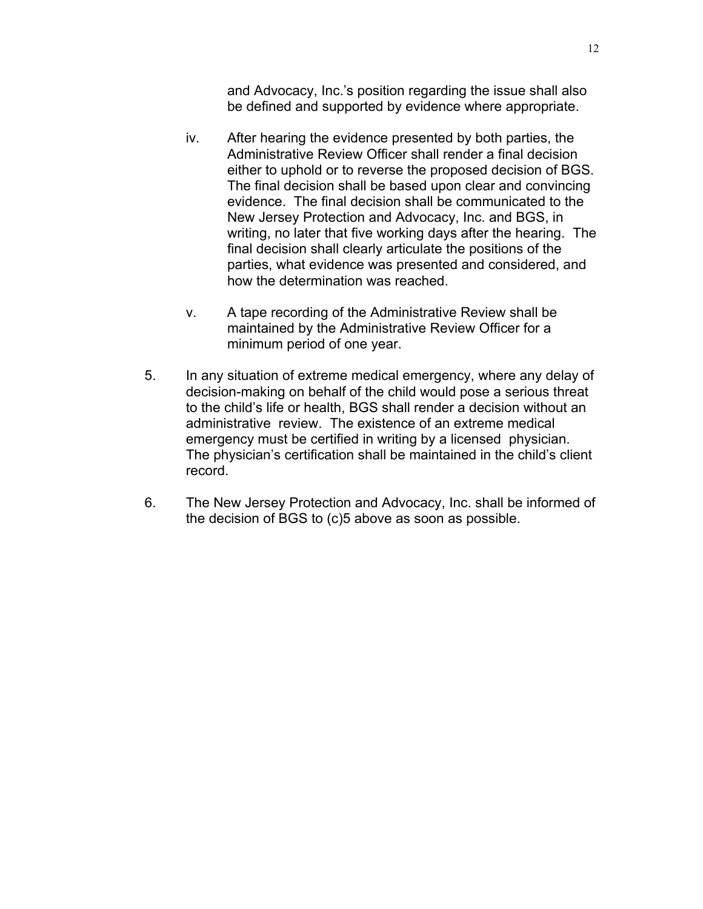and Advocacy, Inc.'s position regarding the issue shall also be defined and supported by evidence where appropriate.

- iv. After hearing the evidence presented by both parties, the Administrative Review Officer shall render a final decision either to uphold or to reverse the proposed decision of BGS. The final decision shall be based upon clear and convincing evidence. The final decision shall be communicated to the New Jersey Protection and Advocacy, Inc. and BGS, in writing, no later that five working days after the hearing. The final decision shall clearly articulate the positions of the parties, what evidence was presented and considered, and how the determination was reached.
- v. A tape recording of the Administrative Review shall be maintained by the Administrative Review Officer for a minimum period of one year.
- 5. In any situation of extreme medical emergency, where any delay of decision-making on behalf of the child would pose a serious threat to the child's life or health, BGS shall render a decision without an administrative review. The existence of an extreme medical emergency must be certified in writing by a licensed physician. The physician's certification shall be maintained in the child's client record.
- 6. The New Jersey Protection and Advocacy, Inc. shall be informed of the decision of BGS to (c)5 above as soon as possible.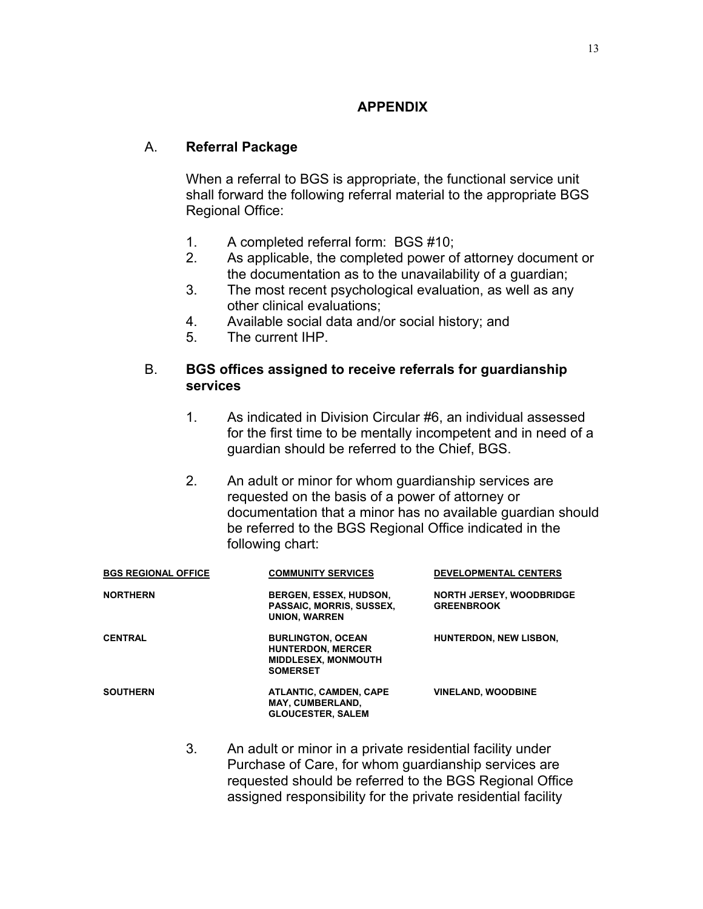## **APPENDIX**

# A. **Referral Package**

When a referral to BGS is appropriate, the functional service unit shall forward the following referral material to the appropriate BGS Regional Office:

- 1. A completed referral form: BGS #10;
- 2. As applicable, the completed power of attorney document or the documentation as to the unavailability of a guardian;
- 3. The most recent psychological evaluation, as well as any other clinical evaluations;
- 4. Available social data and/or social history; and
- 5. The current IHP.

# B. **BGS offices assigned to receive referrals for guardianship services**

- 1. As indicated in Division Circular #6, an individual assessed for the first time to be mentally incompetent and in need of a guardian should be referred to the Chief, BGS.
- 2. An adult or minor for whom guardianship services are requested on the basis of a power of attorney or documentation that a minor has no available guardian should be referred to the BGS Regional Office indicated in the following chart:

| <b>BGS REGIONAL OFFICE</b> | <b>COMMUNITY SERVICES</b>                                                                             | <b>DEVELOPMENTAL CENTERS</b>                         |
|----------------------------|-------------------------------------------------------------------------------------------------------|------------------------------------------------------|
| <b>NORTHERN</b>            | <b>BERGEN, ESSEX, HUDSON,</b><br><b>PASSAIC, MORRIS, SUSSEX.</b><br><b>UNION, WARREN</b>              | <b>NORTH JERSEY, WOODBRIDGE</b><br><b>GREENBROOK</b> |
| <b>CENTRAL</b>             | <b>BURLINGTON, OCEAN</b><br><b>HUNTERDON, MERCER</b><br><b>MIDDLESEX, MONMOUTH</b><br><b>SOMERSET</b> | <b>HUNTERDON, NEW LISBON.</b>                        |
| <b>SOUTHERN</b>            | ATLANTIC, CAMDEN, CAPE<br><b>MAY, CUMBERLAND,</b><br><b>GLOUCESTER, SALEM</b>                         | <b>VINELAND, WOODBINE</b>                            |

3. An adult or minor in a private residential facility under Purchase of Care, for whom guardianship services are requested should be referred to the BGS Regional Office assigned responsibility for the private residential facility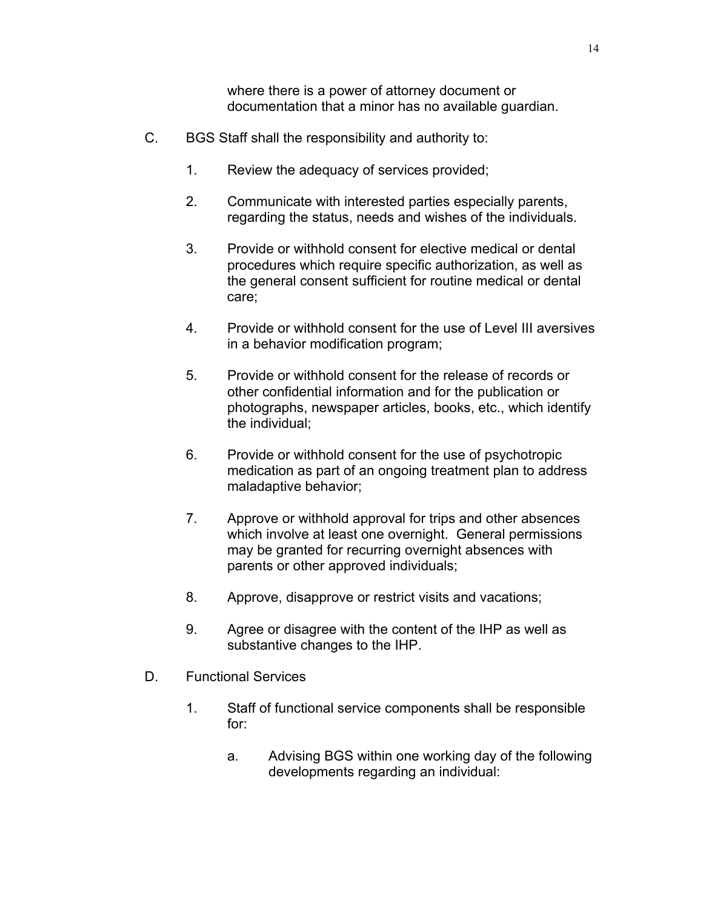where there is a power of attorney document or documentation that a minor has no available guardian.

- C. BGS Staff shall the responsibility and authority to:
	- 1. Review the adequacy of services provided;
	- 2. Communicate with interested parties especially parents, regarding the status, needs and wishes of the individuals.
	- 3. Provide or withhold consent for elective medical or dental procedures which require specific authorization, as well as the general consent sufficient for routine medical or dental care;
	- 4. Provide or withhold consent for the use of Level III aversives in a behavior modification program;
	- 5. Provide or withhold consent for the release of records or other confidential information and for the publication or photographs, newspaper articles, books, etc., which identify the individual;
	- 6. Provide or withhold consent for the use of psychotropic medication as part of an ongoing treatment plan to address maladaptive behavior;
	- 7. Approve or withhold approval for trips and other absences which involve at least one overnight. General permissions may be granted for recurring overnight absences with parents or other approved individuals;
	- 8. Approve, disapprove or restrict visits and vacations;
	- 9. Agree or disagree with the content of the IHP as well as substantive changes to the IHP.
- D. Functional Services
	- 1. Staff of functional service components shall be responsible for:
		- a. Advising BGS within one working day of the following developments regarding an individual: